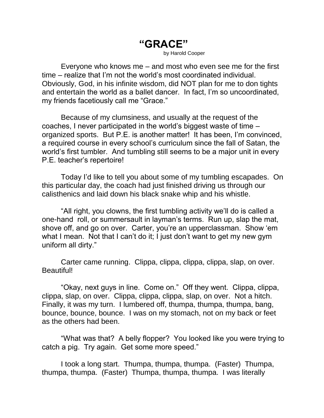**"GRACE"** by Harold Cooper

Everyone who knows me – and most who even see me for the first time – realize that I'm not the world's most coordinated individual. Obviously, God, in his infinite wisdom, did NOT plan for me to don tights and entertain the world as a ballet dancer. In fact, I'm so uncoordinated, my friends facetiously call me "Grace."

Because of my clumsiness, and usually at the request of the coaches, I never participated in the world's biggest waste of time – organized sports. But P.E. is another matter! It has been, I'm convinced, a required course in every school's curriculum since the fall of Satan, the world's first tumbler. And tumbling still seems to be a major unit in every P.E. teacher's repertoire!

Today I'd like to tell you about some of my tumbling escapades. On this particular day, the coach had just finished driving us through our calisthenics and laid down his black snake whip and his whistle.

"All right, you clowns, the first tumbling activity we'll do is called a one-hand roll, or summersault in layman's terms. Run up, slap the mat, shove off, and go on over. Carter, you're an upperclassman. Show 'em what I mean. Not that I can't do it; I just don't want to get my new gym uniform all dirty."

Carter came running. Clippa, clippa, clippa, clippa, slap, on over. Beautiful!

"Okay, next guys in line. Come on." Off they went. Clippa, clippa, clippa, slap, on over. Clippa, clippa, clippa, slap, on over. Not a hitch. Finally, it was my turn. I lumbered off, thumpa, thumpa, thumpa, bang, bounce, bounce, bounce. I was on my stomach, not on my back or feet as the others had been.

"What was that? A belly flopper? You looked like you were trying to catch a pig. Try again. Get some more speed."

I took a long start. Thumpa, thumpa, thumpa. (Faster) Thumpa, thumpa, thumpa. (Faster) Thumpa, thumpa, thumpa. I was literally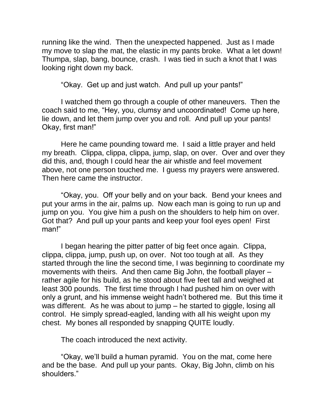running like the wind. Then the unexpected happened. Just as I made my move to slap the mat, the elastic in my pants broke. What a let down! Thumpa, slap, bang, bounce, crash. I was tied in such a knot that I was looking right down my back.

"Okay. Get up and just watch. And pull up your pants!"

I watched them go through a couple of other maneuvers. Then the coach said to me, "Hey, you, clumsy and uncoordinated! Come up here, lie down, and let them jump over you and roll. And pull up your pants! Okay, first man!"

Here he came pounding toward me. I said a little prayer and held my breath. Clippa, clippa, clippa, jump, slap, on over. Over and over they did this, and, though I could hear the air whistle and feel movement above, not one person touched me. I guess my prayers were answered. Then here came the instructor.

"Okay, you. Off your belly and on your back. Bend your knees and put your arms in the air, palms up. Now each man is going to run up and jump on you. You give him a push on the shoulders to help him on over. Got that? And pull up your pants and keep your fool eyes open! First man!"

I began hearing the pitter patter of big feet once again. Clippa, clippa, clippa, jump, push up, on over. Not too tough at all. As they started through the line the second time, I was beginning to coordinate my movements with theirs. And then came Big John, the football player – rather agile for his build, as he stood about five feet tall and weighed at least 300 pounds. The first time through I had pushed him on over with only a grunt, and his immense weight hadn't bothered me. But this time it was different. As he was about to jump – he started to giggle, losing all control. He simply spread-eagled, landing with all his weight upon my chest. My bones all responded by snapping QUITE loudly.

The coach introduced the next activity.

"Okay, we'll build a human pyramid. You on the mat, come here and be the base. And pull up your pants. Okay, Big John, climb on his shoulders."